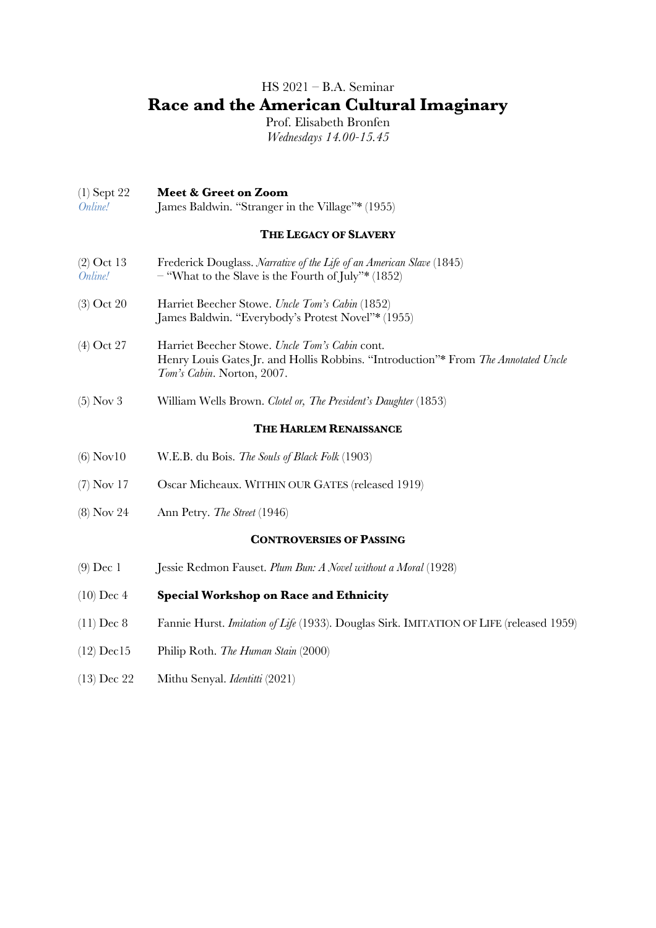# HS 2021 – B.A. Seminar **Race and the American Cultural Imaginary**

Prof. Elisabeth Bronfen *Wednesdays 14.00-15.45*

### (1) Sept 22 **Meet & Greet on Zoom**

*Online!* James Baldwin. "Stranger in the Village"\* (1955)

#### **THE LEGACY OF SLAVERY**

- (2) Oct 13 Frederick Douglass. *Narrative of the Life of an American Slave* (1845) *Online!* – "What to the Slave is the Fourth of July"\* (1852)
- (3) Oct 20 Harriet Beecher Stowe. *Uncle Tom's Cabin* (1852) James Baldwin. "Everybody's Protest Novel"\* (1955)
- (4) Oct 27 Harriet Beecher Stowe. *Uncle Tom's Cabin* cont. Henry Louis Gates Jr. and Hollis Robbins. "Introduction"\* From *The Annotated Uncle Tom's Cabin*. Norton, 2007.
- (5) Nov 3 William Wells Brown. *Clotel or, The President's Daughter* (1853)

#### **THE HARLEM RENAISSANCE**

- (6) Nov10 W.E.B. du Bois. *The Souls of Black Folk* (1903)
- (7) Nov 17 Oscar Micheaux. WITHIN OUR GATES (released 1919)
- (8) Nov 24 Ann Petry. *The Street* (1946)

#### **CONTROVERSIES OF PASSING**

- (9) Dec 1 Jessie Redmon Fauset. *Plum Bun: A Novel without a Moral* (1928)
- (10) Dec 4 **Special Workshop on Race and Ethnicity**
- (11) Dec 8 Fannie Hurst. *Imitation of Life* (1933). Douglas Sirk. IMITATION OF LIFE (released 1959)
- (12) Dec15 Philip Roth. *The Human Stain* (2000)
- (13) Dec 22 Mithu Senyal. *Identitti* (2021)